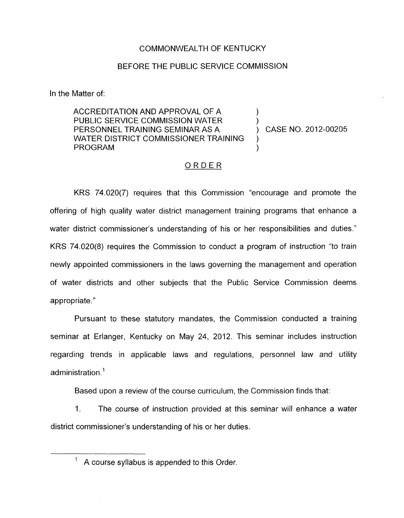## COMMONWEALTH OF KENTUCKY

### BEFORE THE PUBLIC SERVICE COMMISSION

In the Matter of:

ACCREDITATION AND APPROVAL OF A<br>PUBLIC SERVICE COMMISSION WATER PERSONNEL TRAINING SEMINAR AS A ) CASE NO. 2012-00205 WATER DISTRICT COMMISSIONER TRAINING **PROGRAM** 

## ORDER

KRS 74.020(7) requires that this Commission "encourage and promote the offering of high quality water district management training programs that enhance a water district commissioner's understanding of his or her responsibilities and duties." KRS 74.020(8) requires the Commission to conduct a program of instruction "to train newly appointed commissioners in the laws governing the management and operation of water districts and other subjects that the Public Service Commission deems appropriate."

Pursuant to these statutory mandates, the Commission conducted a training seminar at Erlanger, Kentucky on May 24, 2012. This seminar includes instruction regarding trends in applicable laws and regulations, personnel law and utility administration.'

Based upon a review of the course curriculum, the Commission finds that:

1. The course of instruction provided at this seminar will enhance a water district commissioner's understanding of his or her duties.

A course syllabus is appended to this Order.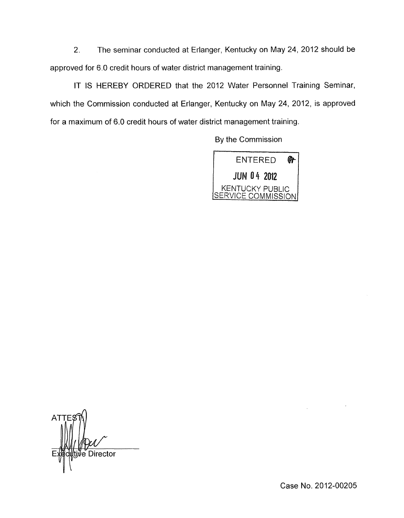2. The seminar conducted at Erlanger, Kentucky on May 24, 2012 should be approved for 6.0 credit hours of water district management training.

IT IS HEREBY ORDERED that the 2012 Water Personnel Training Seminar, which the Commission conducted at Erlanger, Kentucky on May 24, 2012, is approved for a maximum of 6.0 credit hours of water district management training.

By the Commission



**ATT Director** 

Case No. 2012-00205

 $\mathcal{L}$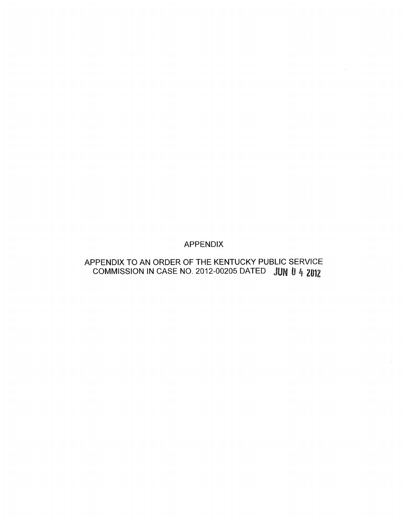## APPENDIX

# APPENDIX TO AN ORDER OF THE KENTUCKY PUBLIC SERVICE COMMISSION IN CASE NO. 2012-00205 DATED JUN 0 4 2012